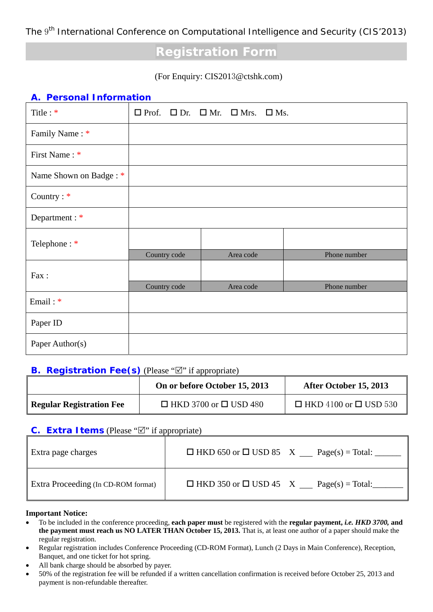The 9<sup>th</sup> International Conference on Computational Intelligence and Security (CIS'2013)

# **Registration Form**

#### (For Enquiry: CIS2013@ctshk.com)

### **A. Personal Information**

| Title: *               |              | $\Box$ Prof. $\Box$ Dr. $\Box$ Mr. $\Box$ Mrs. $\Box$ Ms. |              |
|------------------------|--------------|-----------------------------------------------------------|--------------|
| Family Name: *         |              |                                                           |              |
| First Name: *          |              |                                                           |              |
| Name Shown on Badge: * |              |                                                           |              |
| Country: *             |              |                                                           |              |
| Department : *         |              |                                                           |              |
| Telephone: *           |              |                                                           |              |
|                        | Country code | Area code                                                 | Phone number |
| Fax:                   |              |                                                           |              |
|                        | Country code | Area code                                                 | Phone number |
| Email: *               |              |                                                           |              |
| Paper ID               |              |                                                           |              |
| Paper Author(s)        |              |                                                           |              |

#### **B. Registration Fee(s)** (Please " $\mathbb{Z}$ " if appropriate)

|                                 | On or before October 15, 2013     | After October 15, 2013            |
|---------------------------------|-----------------------------------|-----------------------------------|
| <b>Regular Registration Fee</b> | $\Box$ HKD 3700 or $\Box$ USD 480 | $\Box$ HKD 4100 or $\Box$ USD 530 |

## **C. Extra Items** (Please " $\mathbb{Z}$ " if appropriate)

| Extra page charges                         | $\Box$ HKD 650 or $\Box$ USD 85 X Page(s) = Total: _____ |
|--------------------------------------------|----------------------------------------------------------|
| <b>Extra Proceeding (In CD-ROM format)</b> | $\Box$ HKD 350 or $\Box$ USD 45 X Page(s) = Total:       |

#### **Important Notice:**

- To be included in the conference proceeding, **each paper must** be registered with the **regular payment,** *i.e. HKD 3700,* **and the payment must reach us NO LATER THAN October 15, 2013.** That is, at least one author of a paper should make the regular registration.
- Regular registration includes Conference Proceeding (CD-ROM Format), Lunch (2 Days in Main Conference), Reception, Banquet, and one ticket for hot spring.
- All bank charge should be absorbed by payer.
- 50% of the registration fee will be refunded if a written cancellation confirmation is received before October 25, 2013 and payment is non-refundable thereafter.